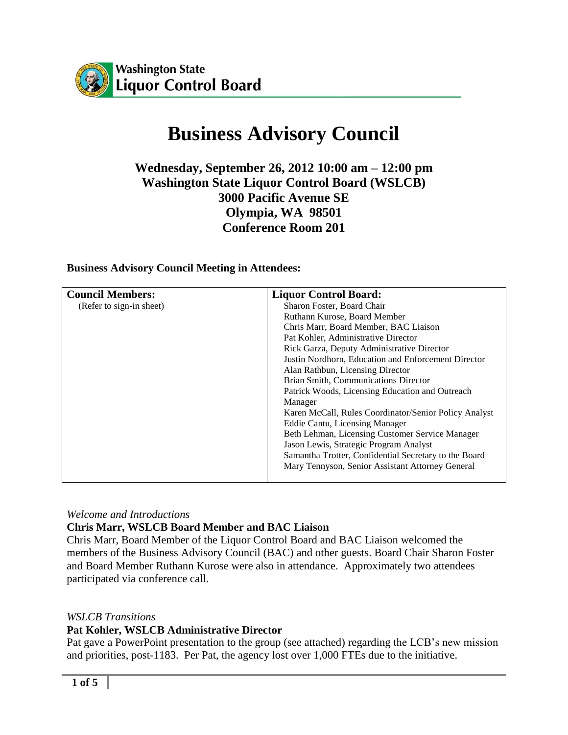

# **Business Advisory Council**

# **Wednesday, September 26, 2012 10:00 am – 12:00 pm Washington State Liquor Control Board (WSLCB) 3000 Pacific Avenue SE Olympia, WA 98501 Conference Room 201**

#### **Business Advisory Council Meeting in Attendees:**

| <b>Council Members:</b>  | <b>Liquor Control Board:</b>                          |
|--------------------------|-------------------------------------------------------|
| (Refer to sign-in sheet) | Sharon Foster, Board Chair                            |
|                          | Ruthann Kurose, Board Member                          |
|                          | Chris Marr, Board Member, BAC Liaison                 |
|                          | Pat Kohler, Administrative Director                   |
|                          | Rick Garza, Deputy Administrative Director            |
|                          | Justin Nordhorn, Education and Enforcement Director   |
|                          | Alan Rathbun, Licensing Director                      |
|                          | Brian Smith, Communications Director                  |
|                          | Patrick Woods, Licensing Education and Outreach       |
|                          | Manager                                               |
|                          | Karen McCall, Rules Coordinator/Senior Policy Analyst |
|                          | Eddie Cantu, Licensing Manager                        |
|                          | Beth Lehman, Licensing Customer Service Manager       |
|                          | Jason Lewis, Strategic Program Analyst                |
|                          | Samantha Trotter, Confidential Secretary to the Board |
|                          | Mary Tennyson, Senior Assistant Attorney General      |

*Welcome and Introductions*

#### **Chris Marr, WSLCB Board Member and BAC Liaison**

Chris Marr, Board Member of the Liquor Control Board and BAC Liaison welcomed the members of the Business Advisory Council (BAC) and other guests. Board Chair Sharon Foster and Board Member Ruthann Kurose were also in attendance. Approximately two attendees participated via conference call.

#### *WSLCB Transitions*

#### **Pat Kohler, WSLCB Administrative Director**

Pat gave a PowerPoint presentation to the group (see attached) regarding the LCB's new mission and priorities, post-1183. Per Pat, the agency lost over 1,000 FTEs due to the initiative.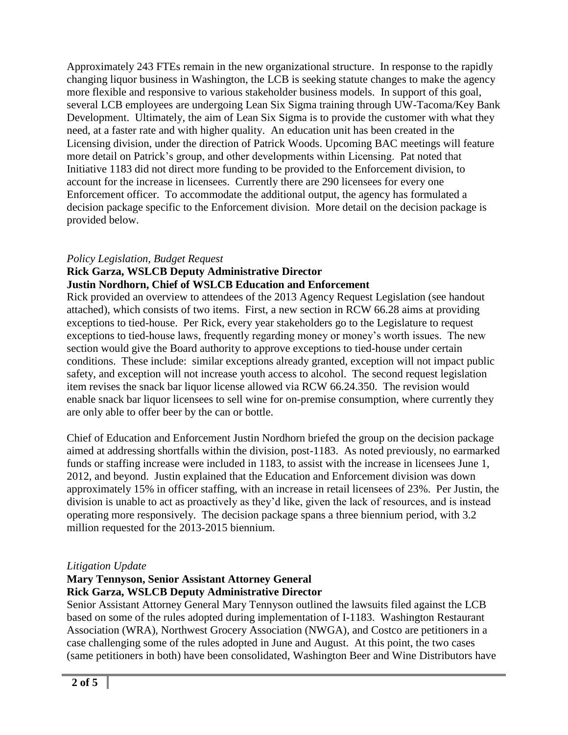Approximately 243 FTEs remain in the new organizational structure. In response to the rapidly changing liquor business in Washington, the LCB is seeking statute changes to make the agency more flexible and responsive to various stakeholder business models. In support of this goal, several LCB employees are undergoing Lean Six Sigma training through UW-Tacoma/Key Bank Development. Ultimately, the aim of Lean Six Sigma is to provide the customer with what they need, at a faster rate and with higher quality. An education unit has been created in the Licensing division, under the direction of Patrick Woods. Upcoming BAC meetings will feature more detail on Patrick's group, and other developments within Licensing. Pat noted that Initiative 1183 did not direct more funding to be provided to the Enforcement division, to account for the increase in licensees. Currently there are 290 licensees for every one Enforcement officer. To accommodate the additional output, the agency has formulated a decision package specific to the Enforcement division. More detail on the decision package is provided below.

## *Policy Legislation, Budget Request*

#### **Rick Garza, WSLCB Deputy Administrative Director Justin Nordhorn, Chief of WSLCB Education and Enforcement**

Rick provided an overview to attendees of the 2013 Agency Request Legislation (see handout attached), which consists of two items. First, a new section in RCW 66.28 aims at providing exceptions to tied-house. Per Rick, every year stakeholders go to the Legislature to request exceptions to tied-house laws, frequently regarding money or money's worth issues. The new section would give the Board authority to approve exceptions to tied-house under certain conditions. These include: similar exceptions already granted, exception will not impact public safety, and exception will not increase youth access to alcohol. The second request legislation item revises the snack bar liquor license allowed via RCW 66.24.350. The revision would enable snack bar liquor licensees to sell wine for on-premise consumption, where currently they are only able to offer beer by the can or bottle.

Chief of Education and Enforcement Justin Nordhorn briefed the group on the decision package aimed at addressing shortfalls within the division, post-1183. As noted previously, no earmarked funds or staffing increase were included in 1183, to assist with the increase in licensees June 1, 2012, and beyond. Justin explained that the Education and Enforcement division was down approximately 15% in officer staffing, with an increase in retail licensees of 23%. Per Justin, the division is unable to act as proactively as they'd like, given the lack of resources, and is instead operating more responsively. The decision package spans a three biennium period, with 3.2 million requested for the 2013-2015 biennium.

## *Litigation Update*

#### **Mary Tennyson, Senior Assistant Attorney General Rick Garza, WSLCB Deputy Administrative Director**

Senior Assistant Attorney General Mary Tennyson outlined the lawsuits filed against the LCB based on some of the rules adopted during implementation of I-1183. Washington Restaurant Association (WRA), Northwest Grocery Association (NWGA), and Costco are petitioners in a case challenging some of the rules adopted in June and August. At this point, the two cases (same petitioners in both) have been consolidated, Washington Beer and Wine Distributors have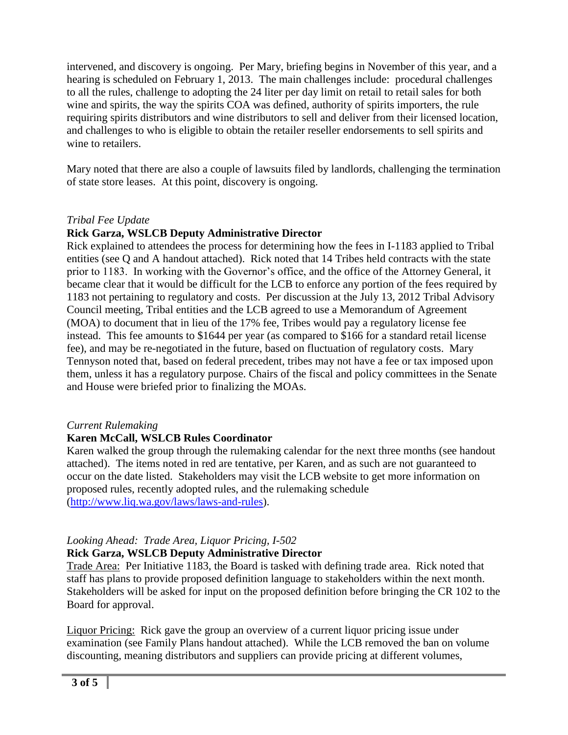intervened, and discovery is ongoing. Per Mary, briefing begins in November of this year, and a hearing is scheduled on February 1, 2013. The main challenges include: procedural challenges to all the rules, challenge to adopting the 24 liter per day limit on retail to retail sales for both wine and spirits, the way the spirits COA was defined, authority of spirits importers, the rule requiring spirits distributors and wine distributors to sell and deliver from their licensed location, and challenges to who is eligible to obtain the retailer reseller endorsements to sell spirits and wine to retailers.

Mary noted that there are also a couple of lawsuits filed by landlords, challenging the termination of state store leases. At this point, discovery is ongoing.

## *Tribal Fee Update*

## **Rick Garza, WSLCB Deputy Administrative Director**

Rick explained to attendees the process for determining how the fees in I-1183 applied to Tribal entities (see Q and A handout attached). Rick noted that 14 Tribes held contracts with the state prior to 1183. In working with the Governor's office, and the office of the Attorney General, it became clear that it would be difficult for the LCB to enforce any portion of the fees required by 1183 not pertaining to regulatory and costs. Per discussion at the July 13, 2012 Tribal Advisory Council meeting, Tribal entities and the LCB agreed to use a Memorandum of Agreement (MOA) to document that in lieu of the 17% fee, Tribes would pay a regulatory license fee instead. This fee amounts to \$1644 per year (as compared to \$166 for a standard retail license fee), and may be re-negotiated in the future, based on fluctuation of regulatory costs. Mary Tennyson noted that, based on federal precedent, tribes may not have a fee or tax imposed upon them, unless it has a regulatory purpose. Chairs of the fiscal and policy committees in the Senate and House were briefed prior to finalizing the MOAs.

## *Current Rulemaking*

#### **Karen McCall, WSLCB Rules Coordinator**

Karen walked the group through the rulemaking calendar for the next three months (see handout attached). The items noted in red are tentative, per Karen, and as such are not guaranteed to occur on the date listed. Stakeholders may visit the LCB website to get more information on proposed rules, recently adopted rules, and the rulemaking schedule [\(http://www.liq.wa.gov/laws/laws-and-rules\)](http://www.liq.wa.gov/laws/laws-and-rules).

# *Looking Ahead: Trade Area, Liquor Pricing, I-502*

## **Rick Garza, WSLCB Deputy Administrative Director**

Trade Area: Per Initiative 1183, the Board is tasked with defining trade area. Rick noted that staff has plans to provide proposed definition language to stakeholders within the next month. Stakeholders will be asked for input on the proposed definition before bringing the CR 102 to the Board for approval.

Liquor Pricing: Rick gave the group an overview of a current liquor pricing issue under examination (see Family Plans handout attached). While the LCB removed the ban on volume discounting, meaning distributors and suppliers can provide pricing at different volumes,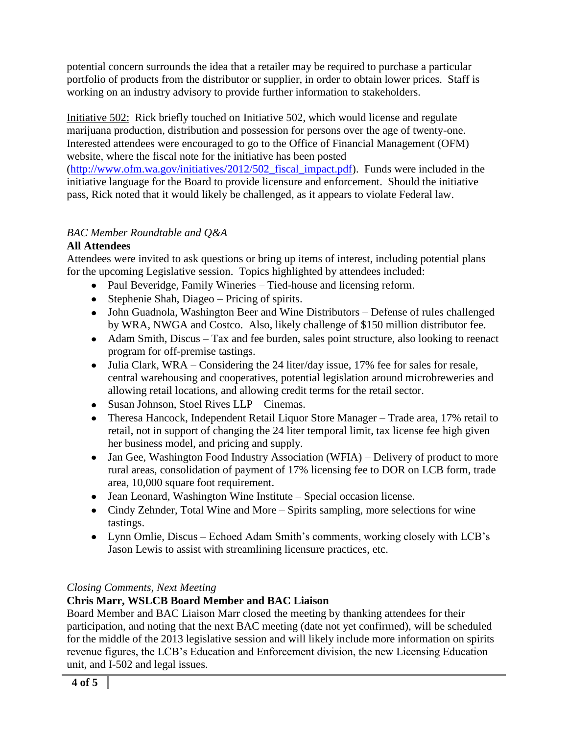potential concern surrounds the idea that a retailer may be required to purchase a particular portfolio of products from the distributor or supplier, in order to obtain lower prices. Staff is working on an industry advisory to provide further information to stakeholders.

Initiative 502: Rick briefly touched on Initiative 502, which would license and regulate marijuana production, distribution and possession for persons over the age of twenty-one. Interested attendees were encouraged to go to the Office of Financial Management (OFM) website, where the fiscal note for the initiative has been posted [\(http://www.ofm.wa.gov/initiatives/2012/502\\_fiscal\\_impact.pdf\)](http://www.ofm.wa.gov/initiatives/2012/502_fiscal_impact.pdf). Funds were included in the initiative language for the Board to provide licensure and enforcement. Should the initiative pass, Rick noted that it would likely be challenged, as it appears to violate Federal law.

# *BAC Member Roundtable and Q&A*

# **All Attendees**

Attendees were invited to ask questions or bring up items of interest, including potential plans for the upcoming Legislative session. Topics highlighted by attendees included:

- Paul Beveridge, Family Wineries Tied-house and licensing reform.
- Stephenie Shah, Diageo Pricing of spirits.
- John Guadnola, Washington Beer and Wine Distributors Defense of rules challenged by WRA, NWGA and Costco. Also, likely challenge of \$150 million distributor fee.
- Adam Smith, Discus Tax and fee burden, sales point structure, also looking to reenact program for off-premise tastings.
- Julia Clark, WRA Considering the 24 liter/day issue, 17% fee for sales for resale, central warehousing and cooperatives, potential legislation around microbreweries and allowing retail locations, and allowing credit terms for the retail sector.
- Susan Johnson, Stoel Rives LLP Cinemas.
- Theresa Hancock, Independent Retail Liquor Store Manager Trade area, 17% retail to retail, not in support of changing the 24 liter temporal limit, tax license fee high given her business model, and pricing and supply.
- Jan Gee, Washington Food Industry Association (WFIA) Delivery of product to more rural areas, consolidation of payment of 17% licensing fee to DOR on LCB form, trade area, 10,000 square foot requirement.
- Jean Leonard, Washington Wine Institute Special occasion license.
- Cindy Zehnder, Total Wine and More Spirits sampling, more selections for wine tastings.
- Lynn Omlie, Discus Echoed Adam Smith's comments, working closely with LCB's Jason Lewis to assist with streamlining licensure practices, etc.

# *Closing Comments, Next Meeting*

# **Chris Marr, WSLCB Board Member and BAC Liaison**

Board Member and BAC Liaison Marr closed the meeting by thanking attendees for their participation, and noting that the next BAC meeting (date not yet confirmed), will be scheduled for the middle of the 2013 legislative session and will likely include more information on spirits revenue figures, the LCB's Education and Enforcement division, the new Licensing Education unit, and I-502 and legal issues.